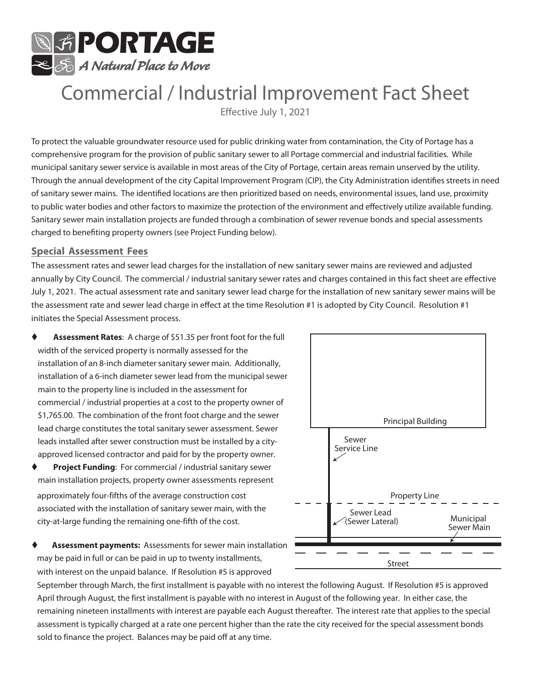

# Commercial / Industrial Improvement Fact Sheet

Effective July 1, 2021

To protect the valuable groundwater resource used for public drinking water from contamination, the City of Portage has a comprehensive program for the provision of public sanitary sewer to all Portage commercial and industrial facilities. While municipal sanitary sewer service is available in most areas of the City of Portage, certain areas remain unserved by the utility. Through the annual development of the city Capital Improvement Program (CIP), the City Administration identifies streets in need of sanitary sewer mains. The identified locations are then prioritized based on needs, environmental issues, land use, proximity to public water bodies and other factors to maximize the protection of the environment and effectively utilize available funding. Sanitary sewer main installation projects are funded through a combination of sewer revenue bonds and special assessments charged to benefiting property owners (see Project Funding below).

#### **Special Assessment Fees**

The assessment rates and sewer lead charges for the installation of new sanitary sewer mains are reviewed and adjusted annually by City Council. The commercial / industrial sanitary sewer rates and charges contained in this fact sheet are effective July 1, 2021. The actual assessment rate and sanitary sewer lead charge for the installation of new sanitary sewer mains will be the assessment rate and sewer lead charge in effect at the time Resolution #1 is adopted by City Council. Resolution #1 initiates the Special Assessment process.

- **Assessment Rates**: A charge of \$51.35 per front foot for the full width of the serviced property is normally assessed for the installation of an 8-inch diameter sanitary sewer main. Additionally, installation of a 6-inch diameter sewer lead from the municipal sewer main to the property line is included in the assessment for commercial / industrial properties at a cost to the property owner of \$1,765.00. The combination of the front foot charge and the sewer lead charge constitutes the total sanitary sewer assessment. Sewer leads installed after sewer construction must be installed by a cityapproved licensed contractor and paid for by the property owner.
- **Project Funding:** For commercial / industrial sanitary sewer main installation projects, property owner assessments represent approximately four-fifths of the average construction cost associated with the installation of sanitary sewer main, with the city-at-large funding the remaining one-fifth of the cost.
- **Assessment payments:** Assessments for sewer main installation may be paid in full or can be paid in up to twenty installments, with interest on the unpaid balance. If Resolution #5 is approved



September through March, the first installment is payable with no interest the following August. If Resolution #5 is approved April through August, the first installment is payable with no interest in August of the following year. In either case, the remaining nineteen installments with interest are payable each August thereafter. The interest rate that applies to the special assessment is typically charged at a rate one percent higher than the rate the city received for the special assessment bonds sold to finance the project. Balances may be paid off at any time.